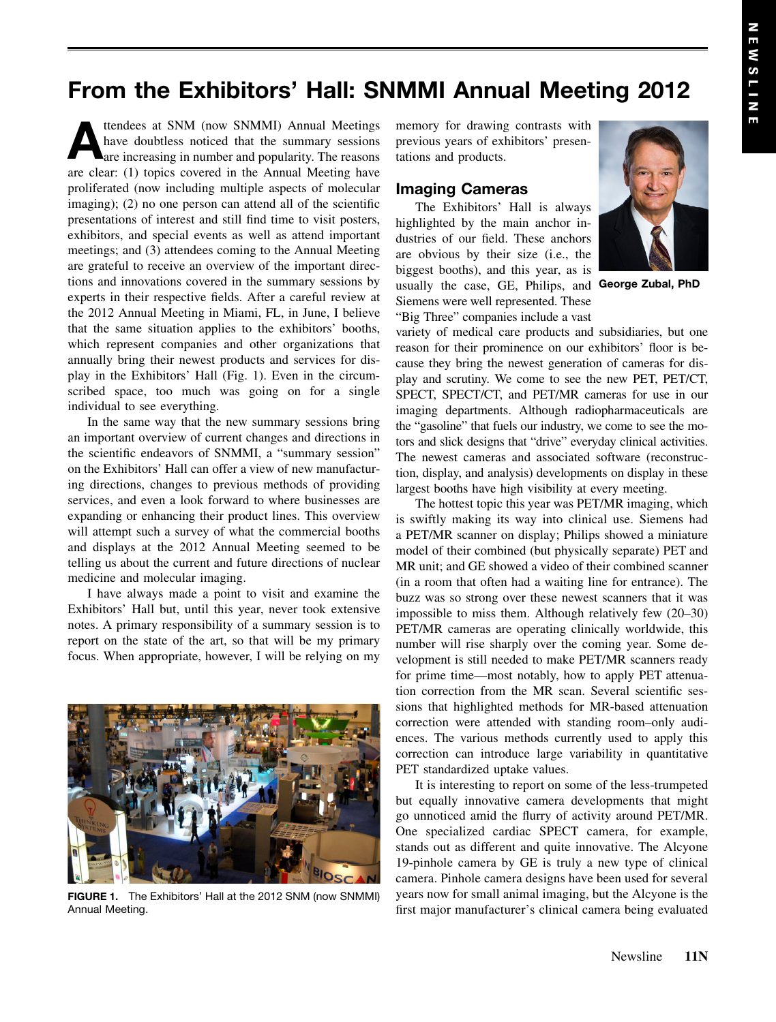# From the Exhibitors' Hall: SNMMI Annual Meeting 2012

Attendees at SNM (now SNMMI) Annual Meetings<br>have doubtless noticed that the summary sessions<br>are increasing in number and popularity. The reasons have doubtless noticed that the summary sessions are clear: (1) topics covered in the Annual Meeting have proliferated (now including multiple aspects of molecular imaging); (2) no one person can attend all of the scientific presentations of interest and still find time to visit posters, exhibitors, and special events as well as attend important meetings; and (3) attendees coming to the Annual Meeting are grateful to receive an overview of the important directions and innovations covered in the summary sessions by experts in their respective fields. After a careful review at the 2012 Annual Meeting in Miami, FL, in June, I believe that the same situation applies to the exhibitors' booths, which represent companies and other organizations that annually bring their newest products and services for display in the Exhibitors' Hall (Fig. 1). Even in the circumscribed space, too much was going on for a single individual to see everything.

In the same way that the new summary sessions bring an important overview of current changes and directions in the scientific endeavors of SNMMI, a "summary session" on the Exhibitors' Hall can offer a view of new manufacturing directions, changes to previous methods of providing services, and even a look forward to where businesses are expanding or enhancing their product lines. This overview will attempt such a survey of what the commercial booths and displays at the 2012 Annual Meeting seemed to be telling us about the current and future directions of nuclear medicine and molecular imaging.

I have always made a point to visit and examine the Exhibitors' Hall but, until this year, never took extensive notes. A primary responsibility of a summary session is to report on the state of the art, so that will be my primary focus. When appropriate, however, I will be relying on my



FIGURE 1. The Exhibitors' Hall at the 2012 SNM (now SNMMI) Annual Meeting.

memory for drawing contrasts with previous years of exhibitors' presentations and products.

#### Imaging Cameras

The Exhibitors' Hall is always highlighted by the main anchor industries of our field. These anchors are obvious by their size (i.e., the biggest booths), and this year, as is usually the case, GE, Philips, and George Zubal, PhD Siemens were well represented. These "Big Three" companies include a vast



variety of medical care products and subsidiaries, but one reason for their prominence on our exhibitors' floor is because they bring the newest generation of cameras for display and scrutiny. We come to see the new PET, PET/CT, SPECT, SPECT/CT, and PET/MR cameras for use in our imaging departments. Although radiopharmaceuticals are the "gasoline" that fuels our industry, we come to see the motors and slick designs that "drive" everyday clinical activities. The newest cameras and associated software (reconstruction, display, and analysis) developments on display in these largest booths have high visibility at every meeting.

The hottest topic this year was PET/MR imaging, which is swiftly making its way into clinical use. Siemens had a PET/MR scanner on display; Philips showed a miniature model of their combined (but physically separate) PET and MR unit; and GE showed a video of their combined scanner (in a room that often had a waiting line for entrance). The buzz was so strong over these newest scanners that it was impossible to miss them. Although relatively few (20–30) PET/MR cameras are operating clinically worldwide, this number will rise sharply over the coming year. Some development is still needed to make PET/MR scanners ready for prime time—most notably, how to apply PET attenuation correction from the MR scan. Several scientific sessions that highlighted methods for MR-based attenuation correction were attended with standing room–only audiences. The various methods currently used to apply this correction can introduce large variability in quantitative PET standardized uptake values.

It is interesting to report on some of the less-trumpeted but equally innovative camera developments that might go unnoticed amid the flurry of activity around PET/MR. One specialized cardiac SPECT camera, for example, stands out as different and quite innovative. The Alcyone 19-pinhole camera by GE is truly a new type of clinical camera. Pinhole camera designs have been used for several years now for small animal imaging, but the Alcyone is the first major manufacturer's clinical camera being evaluated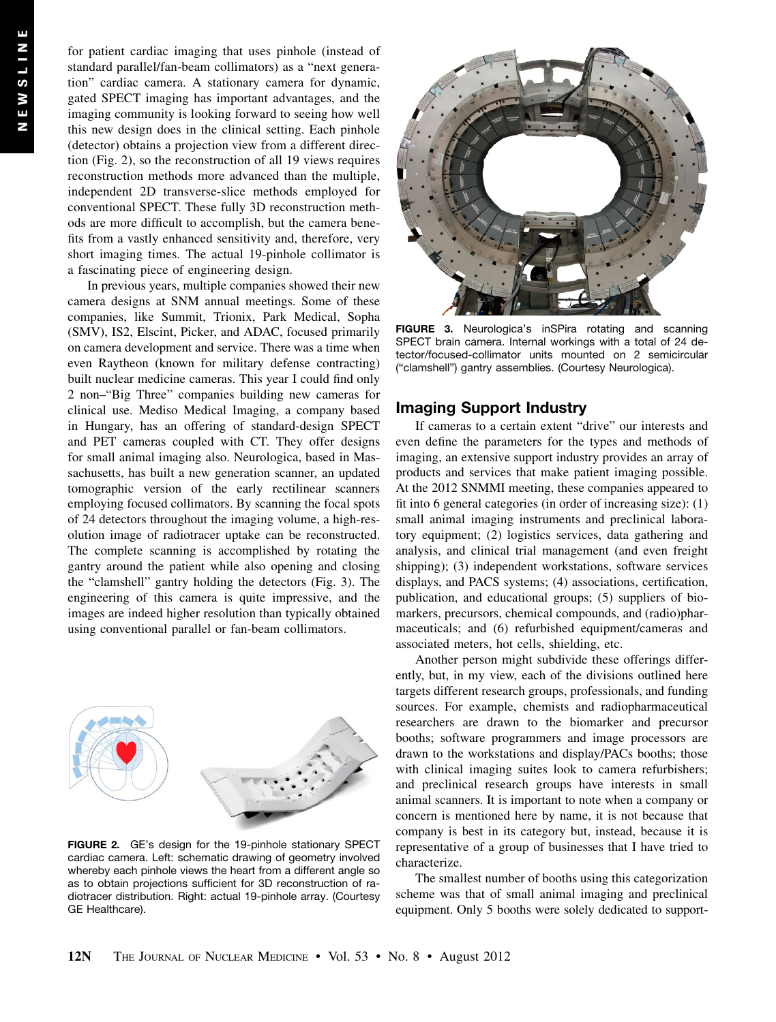for patient cardiac imaging that uses pinhole (instead of standard parallel/fan-beam collimators) as a "next generation" cardiac camera. A stationary camera for dynamic, gated SPECT imaging has important advantages, and the imaging community is looking forward to seeing how well this new design does in the clinical setting. Each pinhole (detector) obtains a projection view from a different direction (Fig. 2), so the reconstruction of all 19 views requires reconstruction methods more advanced than the multiple, independent 2D transverse-slice methods employed for conventional SPECT. These fully 3D reconstruction methods are more difficult to accomplish, but the camera benefits from a vastly enhanced sensitivity and, therefore, very short imaging times. The actual 19-pinhole collimator is a fascinating piece of engineering design.

In previous years, multiple companies showed their new camera designs at SNM annual meetings. Some of these companies, like Summit, Trionix, Park Medical, Sopha (SMV), IS2, Elscint, Picker, and ADAC, focused primarily on camera development and service. There was a time when even Raytheon (known for military defense contracting) built nuclear medicine cameras. This year I could find only 2 non–"Big Three" companies building new cameras for clinical use. Mediso Medical Imaging, a company based in Hungary, has an offering of standard-design SPECT and PET cameras coupled with CT. They offer designs for small animal imaging also. Neurologica, based in Massachusetts, has built a new generation scanner, an updated tomographic version of the early rectilinear scanners employing focused collimators. By scanning the focal spots of 24 detectors throughout the imaging volume, a high-resolution image of radiotracer uptake can be reconstructed. The complete scanning is accomplished by rotating the gantry around the patient while also opening and closing the "clamshell" gantry holding the detectors (Fig. 3). The engineering of this camera is quite impressive, and the images are indeed higher resolution than typically obtained using conventional parallel or fan-beam collimators.



FIGURE 2. GE's design for the 19-pinhole stationary SPECT cardiac camera. Left: schematic drawing of geometry involved whereby each pinhole views the heart from a different angle so as to obtain projections sufficient for 3D reconstruction of radiotracer distribution. Right: actual 19-pinhole array. (Courtesy GE Healthcare).



FIGURE 3. Neurologica's inSPira rotating and scanning SPECT brain camera. Internal workings with a total of 24 detector/focused-collimator units mounted on 2 semicircular ("clamshell") gantry assemblies. (Courtesy Neurologica).

## Imaging Support Industry

If cameras to a certain extent "drive" our interests and even define the parameters for the types and methods of imaging, an extensive support industry provides an array of products and services that make patient imaging possible. At the 2012 SNMMI meeting, these companies appeared to fit into 6 general categories (in order of increasing size): (1) small animal imaging instruments and preclinical laboratory equipment; (2) logistics services, data gathering and analysis, and clinical trial management (and even freight shipping); (3) independent workstations, software services displays, and PACS systems; (4) associations, certification, publication, and educational groups; (5) suppliers of biomarkers, precursors, chemical compounds, and (radio)pharmaceuticals; and (6) refurbished equipment/cameras and associated meters, hot cells, shielding, etc.

Another person might subdivide these offerings differently, but, in my view, each of the divisions outlined here targets different research groups, professionals, and funding sources. For example, chemists and radiopharmaceutical researchers are drawn to the biomarker and precursor booths; software programmers and image processors are drawn to the workstations and display/PACs booths; those with clinical imaging suites look to camera refurbishers; and preclinical research groups have interests in small animal scanners. It is important to note when a company or concern is mentioned here by name, it is not because that company is best in its category but, instead, because it is representative of a group of businesses that I have tried to characterize.

The smallest number of booths using this categorization scheme was that of small animal imaging and preclinical equipment. Only 5 booths were solely dedicated to support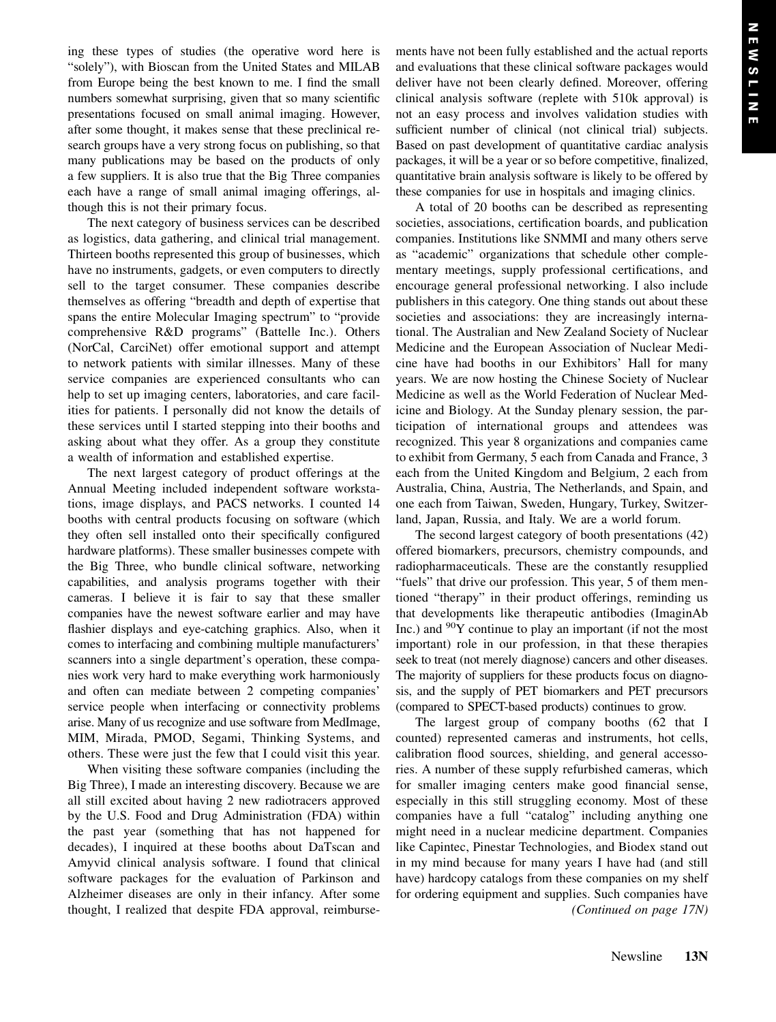ing these types of studies (the operative word here is "solely"), with Bioscan from the United States and MILAB from Europe being the best known to me. I find the small numbers somewhat surprising, given that so many scientific presentations focused on small animal imaging. However, after some thought, it makes sense that these preclinical research groups have a very strong focus on publishing, so that many publications may be based on the products of only a few suppliers. It is also true that the Big Three companies each have a range of small animal imaging offerings, although this is not their primary focus.

The next category of business services can be described as logistics, data gathering, and clinical trial management. Thirteen booths represented this group of businesses, which have no instruments, gadgets, or even computers to directly sell to the target consumer. These companies describe themselves as offering "breadth and depth of expertise that spans the entire Molecular Imaging spectrum" to "provide comprehensive R&D programs" (Battelle Inc.). Others (NorCal, CarciNet) offer emotional support and attempt to network patients with similar illnesses. Many of these service companies are experienced consultants who can help to set up imaging centers, laboratories, and care facilities for patients. I personally did not know the details of these services until I started stepping into their booths and asking about what they offer. As a group they constitute a wealth of information and established expertise.

The next largest category of product offerings at the Annual Meeting included independent software workstations, image displays, and PACS networks. I counted 14 booths with central products focusing on software (which they often sell installed onto their specifically configured hardware platforms). These smaller businesses compete with the Big Three, who bundle clinical software, networking capabilities, and analysis programs together with their cameras. I believe it is fair to say that these smaller companies have the newest software earlier and may have flashier displays and eye-catching graphics. Also, when it comes to interfacing and combining multiple manufacturers' scanners into a single department's operation, these companies work very hard to make everything work harmoniously and often can mediate between 2 competing companies' service people when interfacing or connectivity problems arise. Many of us recognize and use software from MedImage, MIM, Mirada, PMOD, Segami, Thinking Systems, and others. These were just the few that I could visit this year.

When visiting these software companies (including the Big Three), I made an interesting discovery. Because we are all still excited about having 2 new radiotracers approved by the U.S. Food and Drug Administration (FDA) within the past year (something that has not happened for decades), I inquired at these booths about DaTscan and Amyvid clinical analysis software. I found that clinical software packages for the evaluation of Parkinson and Alzheimer diseases are only in their infancy. After some thought, I realized that despite FDA approval, reimbursements have not been fully established and the actual reports and evaluations that these clinical software packages would deliver have not been clearly defined. Moreover, offering clinical analysis software (replete with 510k approval) is not an easy process and involves validation studies with sufficient number of clinical (not clinical trial) subjects. Based on past development of quantitative cardiac analysis packages, it will be a year or so before competitive, finalized, quantitative brain analysis software is likely to be offered by these companies for use in hospitals and imaging clinics.

A total of 20 booths can be described as representing societies, associations, certification boards, and publication companies. Institutions like SNMMI and many others serve as "academic" organizations that schedule other complementary meetings, supply professional certifications, and encourage general professional networking. I also include publishers in this category. One thing stands out about these societies and associations: they are increasingly international. The Australian and New Zealand Society of Nuclear Medicine and the European Association of Nuclear Medicine have had booths in our Exhibitors' Hall for many years. We are now hosting the Chinese Society of Nuclear Medicine as well as the World Federation of Nuclear Medicine and Biology. At the Sunday plenary session, the participation of international groups and attendees was recognized. This year 8 organizations and companies came to exhibit from Germany, 5 each from Canada and France, 3 each from the United Kingdom and Belgium, 2 each from Australia, China, Austria, The Netherlands, and Spain, and one each from Taiwan, Sweden, Hungary, Turkey, Switzerland, Japan, Russia, and Italy. We are a world forum.

The second largest category of booth presentations (42) offered biomarkers, precursors, chemistry compounds, and radiopharmaceuticals. These are the constantly resupplied "fuels" that drive our profession. This year, 5 of them mentioned "therapy" in their product offerings, reminding us that developments like therapeutic antibodies (ImaginAb Inc.) and  $90Y$  continue to play an important (if not the most important) role in our profession, in that these therapies seek to treat (not merely diagnose) cancers and other diseases. The majority of suppliers for these products focus on diagnosis, and the supply of PET biomarkers and PET precursors (compared to SPECT-based products) continues to grow.

The largest group of company booths (62 that I counted) represented cameras and instruments, hot cells, calibration flood sources, shielding, and general accessories. A number of these supply refurbished cameras, which for smaller imaging centers make good financial sense, especially in this still struggling economy. Most of these companies have a full "catalog" including anything one might need in a nuclear medicine department. Companies like Capintec, Pinestar Technologies, and Biodex stand out in my mind because for many years I have had (and still have) hardcopy catalogs from these companies on my shelf for ordering equipment and supplies. Such companies have (Continued on page 17N)